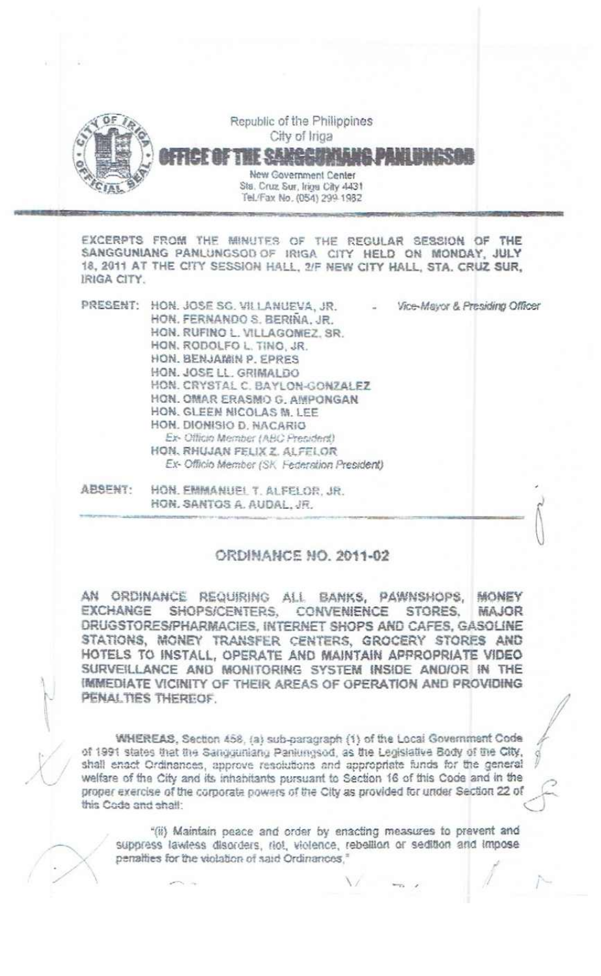

EXCERPTS FROM THE MINUTES OF THE REGULAR SESSION OF THE SANGGUNIANG PANLUNGSOD OF IRIGA CITY HELD ON MONDAY, JULY 18. 2011 AT THE CITY SESSION HALL, 2/F NEW CITY HALL, STA. CRUZ SUR, IRIGA CITY.

| PRESENT: | HON. JOSE SG. VILLANUEVA, JR.<br>HON, FERNANDO S. BERINA, JR.<br>HON, RUFINO L. VILLAGONIEZ, SR.<br>HON, RODOLFO L. TINO, JR.<br>HON. BENJAWIN P. EPRES<br>HON. JOSE LL. GRIMALDO<br>HON, CRYSTAL C. BAYLON-GONZALEZ<br>HON. OMAR ERASMO G. AMPONGAN<br>HON, GLEEN NICOLAS M. LEE<br>HON, DIONISIO D. NACARIO<br>Ex-Officio Member (ABC President)<br>HON, RHUJAN FELIX Z. ALFELOR | Vice-Mayor & Presiding Officer |
|----------|------------------------------------------------------------------------------------------------------------------------------------------------------------------------------------------------------------------------------------------------------------------------------------------------------------------------------------------------------------------------------------|--------------------------------|
|          | Ex-Officio Member (SK, Federation President)                                                                                                                                                                                                                                                                                                                                       |                                |

ABSENT. HON. EMMANUEL T. ALFELOR. JR. HON, SANTOS A, AUDAL, JR.

## **ORDINANCE NO. 2011-02**

AN ORDINANCE REQUIRING ALL BANKS, PAWNSHOPS, MONEY EXCHANGE SHOPS/CENTERS. **CONVENIENCE** STORES. MAJOR DRUGSTORES/PHARMACIES, INTERNET SHOPS AND CAFES, GASOLINE STATIONS, MONEY TRANSFER CENTERS, GROCERY STORES AND HOTELS TO INSTALL, OPERATE AND MAINTAIN APPROPRIATE VIDEO SURVEILLANCE AND MONITORING SYSTEM INSIDE AND/OR IN THE IMMEDIATE VICINITY OF THEIR AREAS OF OPERATION AND PROVIDING. PENALTIES THEREOF.

WHEREAS, Section 458, (a) sub-paragraph (1) of the Local Government Code of 1991 states that the Sangquriang Paniungsod, as the Legislative Body of the City, shall enact Ordinances, approve resolutions and appropriate funds for the general welfare of the City and its inhabitants pursuant to Section 16 of this Code and in the proper exercise of the corporate powers of the City as provided for under Section 22 of this Code and shall:

"(ii) Maintain peace and order by enacting measures to prevent and suppress lawless disorders, riot, violence, rebellion or sedition and impose penalties for the violation of said Ordinances,"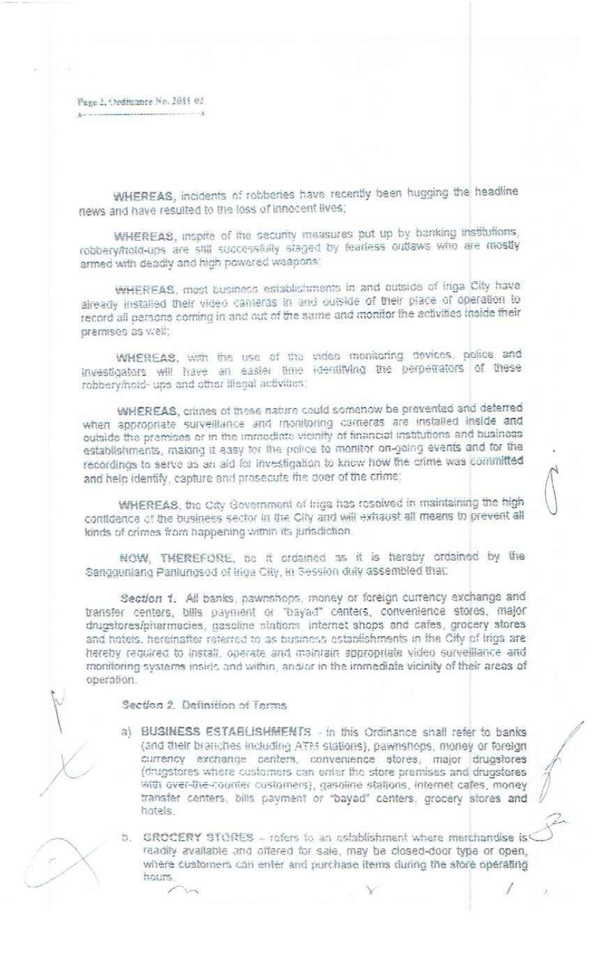Fage 2, Ordinance No. 2011 02

WHEREAS, incidents of robberies have recently been hugging the headline news and have resulted to the loss of innocent lives;

WHEREAS, inspite of the security measures put up by banking institutions, robbery/hold-ups are still successfully staged by fearless outlaws who are mostly armed with deadly and high powered weapons;

WHEREAS, most business establishments in and outside of Iriga City have already installed their video cameras in and outside of their place of operation to record all persons coming in and out of the same and monitor the activities inside their premises as well:

WHEREAS, with the use of the video monitoring devices, police and investigators will have an easier time identifying the perpetrators of these robbery/hold- ups and other lilegal activities:

WHEREAS, crimes of these nature could somehow be prevented and deterred when appropriate surveillance and monitoring cameras are installed inside and outside the premises or in the immediate vicinity of financial institutions and business establishments, making it easy for the police to monitor on-going events and for the recordings to serve as an aid for investigation to know how the crime was committed and help identify, capture and prosecute the doer of the crime;

WHEREAS, the City Gevernment of Iriga has resolved in maintaining the high contidence of the business sector in the City and will exhaust all means to prevent all kinds of crimes from happening within its jurisdiction.

NOW, THEREFORE, be it ordained as it is hereby ordained by the Sanggunlang Panlungsod of Iriga City, in Session duly assembled that:

Section 1. All banks, pawnshops, money or foreign currency exchange and transfer centers, bills payment or "bayad" centers, convenience stores, major drugstores/pharmacies, gasoline stations internet shops and cafes, grocery stores and hotels, hereinafter reterred to as business establishments in the City of Iriga are hereby required to install, operate and maintain appropriate video survelliance and monitoring systems inside and within, and/or in the immediate vicinity of their areas of oberation.

Section 2. Definition of Terms.

a) BUSINESS ESTABLISHMENTS - in this Ordinance shall refer to banks (and their branches including ATM stations), pawnshops, money or foreign currency exchange centers, convenience stores, major drugstores (drugstores where customers can enter the store premises and drugstores with over-the-counter customers), gasoline stations, internet cafes, money transfer centers, bills payment or "bayad" centers, grocery stores and hotels.

b. GROCERY STORES - refers to an establishment where merchandise is readily available and offered for sale, may be closed-door type or open, where customers can enter and purchase items during the store operating hours.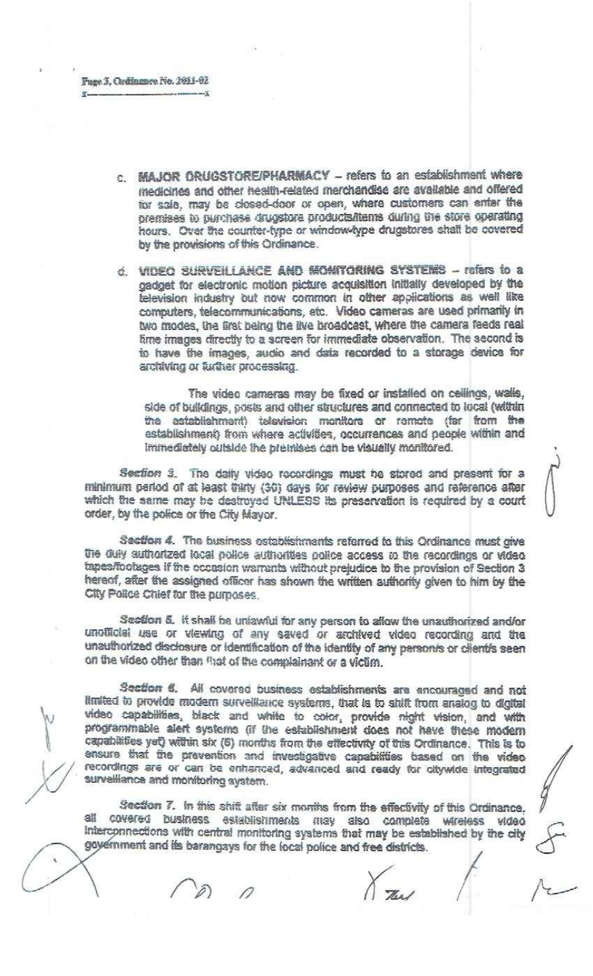- c. MAJOR ORUGSTORE/PHARMACY refers to an establishment where medicines and other health-related merchandise are available and offered for sale, may be closed-door or open, where customers can enter the premises to purchase drugstore products/items during the store operating hours. Over the counter-type or window-type drugstores shall be covered by the provisions of this Ordinance.
- d. VIDEO SURVEILLANCE AND MONITORING SYSTEMS refars to a gadget for electronic motion picture acquisition initially developed by the television industry out now common in other applications as well like computers, telecommunications, etc. Video cameras are used primarily in two modes, the first being the live broadcast, where the camera feeds real fime images directly to a screen for immediate observation. The second is to have the images, audio and data recorded to a storage device for archiving or further processing.

The video cameras may be fixed or installed on cellings, walls, side of buildings, posts and other structures and connected to local (within the establishment) television monitors or remote (far from the establishment) from where activities, occurrences and people within and immediately outside the premises can be visually monitored.

Section 3. The daily video recordings must be stored and present for a minimum period of at least thirty (30) days for review purposes and reference after which the same may be destroyed UNLESS its preservation is required by a court order, by the police or the City Mayor.

Section 4. The business establishments referred to this Ordinance must give the duly authorized local police authorities police access to the recordings or video. tapes/footages if the occasion warrants without prejudice to the provision of Section 3 hereof, after the assigned officer has shown the written authority given to him by the City Police Chief for the purposes.

Section 5. It shall be unlawful for any person to allow the unauthorized and/or unofficial use or viewing of any saved or archived video recording and the unauthorized disclosure or identification of the identity of any personis or clientis seen on the video other than that of the complainant or a victim.

Section 6. All covered business establishments are encouraged and not limited to provide modern surveillance systems, that is to shift from analog to digital video capabilities, black and white to color, provide night vision, and with programmable alert systems (if the establishment does not have these modern capabilities yet) within six (6) months from the effectivity of this Ordinance. This is to ensure that the prevention and investigative capabilities based on the video recordings are or can be enhanced, advanced and ready for ollywide integrated survelliance and monitoring aystem.

Section 7. In this shift after six months from the effectivity of this Ordinance, all covered business establishments may also complete wireless video Interconnections with central monitoring systems that may be established by the city government and its barangays for the local police and free districts.

The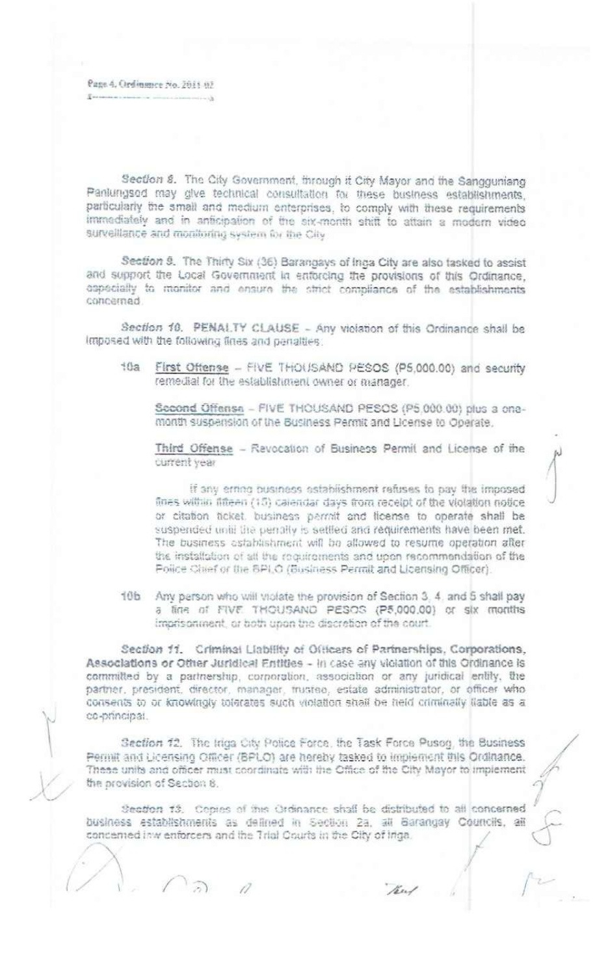Page 4. Ordinance No. 2011 02

Section 8. The City Government, through it City Mayor and the Sangguniang Panlungsod may give technical consultation for these business establishments. particularly the small and medium enterprises, to comply with these requirements immediately and in anticipation of the six-month shift to attain a modern video surveillance and monitoring system for the City

Section 9. The Thirty Six (36) Barangays of Inga City are also tasked to assist and support the Local Government in enforcing the provisions of this Ordinance. especially to monitor and ensure the strict compliance of the establishments concerned.

Section 10. PENALTY CLAUSE - Any violation of this Ordinance shall be Imposed with the following fines and penalties:

First Offense - FIVE THOUSAND PESOS (P5,000.00) and security  $+12.5$ remedial for the establishment owner or manager.

Second Offense - FIVE THOUSAND PESOS (P5.000.00) plus a onemonth suspension of the Business Permit and License to Operate.

Third Offense - Revocation of Business Permit and License of the current year

If any erring business astablishment refuses to pay the imposed fines within fifteen (15) calendar days from receipt of the violation notice or citation ticket, business permit and license to operate shall be suspended until the penalty is settled and requirements have been met. The business astablishment will be allowed to resume operation after the installation of all the roquiroments and upon recommendation of the Police Chief or the SPLO (Business Permit and Licensing Officer).

10b Any person who will violate the provision of Section 3, 4, and 5 shall pay a fine of FIVE THOUSAND PESOS (P5,000.00) or six months imprisonment, or both upon the discretion of the court.

Section 11. Criminal Liability of Officers of Partnerships, Corporations, Associations or Other Juridical Entities - in case any violation of this Ordinance is committed by a partnership, cornoration, association or any juridical entity, the partner, president, director, manager, trustee, estate administrator, or officer who consents to or knowingly tolerates such violation shall be held criminally liable as a co-principal.

Section 12. The Iriga City Police Force, the Task Force Pusog, the Business Permit and Licensing Officer (BPLO) are hereby tasked to implement this Ordinance. These units and officer must coordinate with the Office of the City Mayor to implement the provision of Section 8.

Section 13. Copies of this Ordinance shall be distributed to all concerned business establishments as defined in Section 2a, all Barangay Councils, all concerned inw enforcers and the Trial Courts in the City of Iriga.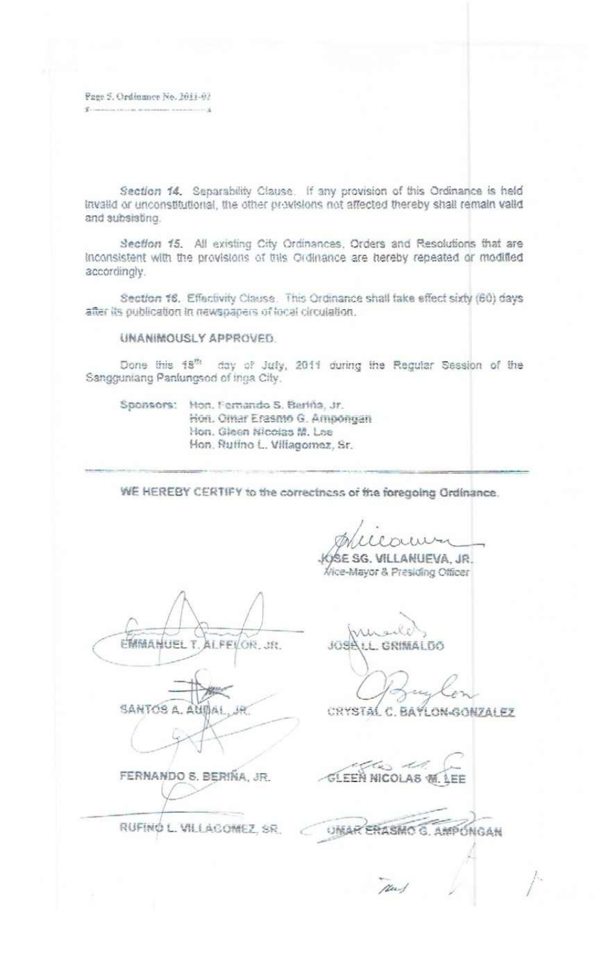Fage 5. Ordinance No. 2011-02

Section 14. Separability Clause. If any provision of this Ordinance is held invalid or unconstitutional, the other provisions not affected thereby shall remain valid and subsisting.

Section 15. All existing City Ordinances, Orders and Resolutions that are inconsistent with the provisions of this Ordinance are hereby repeated or modified accordingly.

Section 16. Effectivity Clause. This Ordinance shall take effect sixty (60) days after its publication in newspapers of local circulation.

## UNANIMOUSLY APPROVED

Done this 18th day of July, 2011 during the Regular Session of the Sangguniang Panlungsod of inga City.

Sponsors: Hon. Fernando S. Berlifa, Jr. Hon, Omar Erasmo G. Ampongan Hon. Gleen Nicolas M. Lee Hon. Ruffno L. Villagomez, Sr.

WE HEREBY CERTIFY to the correctness of the foregoing Ordinance.

SE SG. VILLANUEVA, JR. Vice-Mayor & Presiding Officer

EMMANUEL ALFEVOR.JR. Ŧ

SANTOS A. AUBAI i iir

FERNANDO S. BERIÑA, JR.

RUFINO L. VILLACOMEZ, SR.

3659 GRIMAL DO

CRYSTAL C. BAYLON-GONZALEZ

che da **GLEEN NICOLAS W. LEE** 

UMAR ENASMO G. AMPONGAN

New